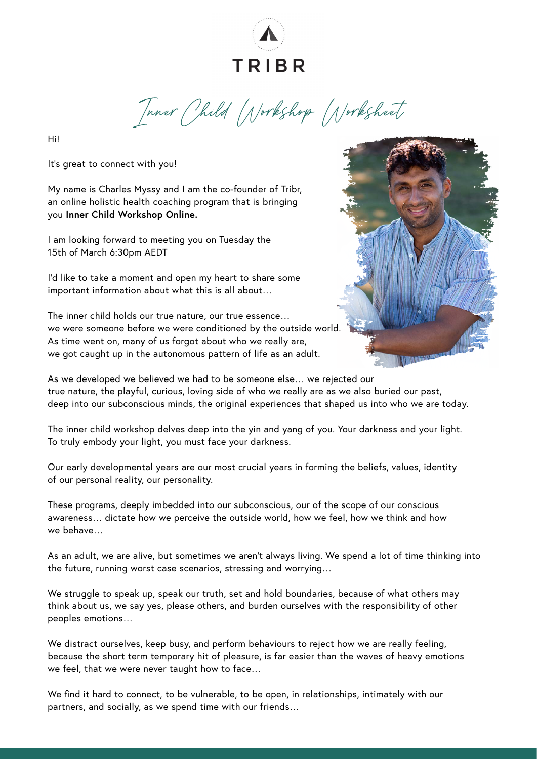

Inner Child Workshop Worksheet

Hi!

It's great to connect with you!

My name is Charles Myssy and I am the co-founder of Tribr, an online holistic health coaching program that is bringing you **Inner Child Workshop Online.**

I am looking forward to meeting you on Tuesday the 15th of March 6:30pm AEDT

I'd like to take a moment and open my heart to share some important information about what this is all about…

The inner child holds our true nature, our true essence… we were someone before we were conditioned by the outside world. As time went on, many of us forgot about who we really are, we got caught up in the autonomous pattern of life as an adult.



As we developed we believed we had to be someone else… we rejected our true nature, the playful, curious, loving side of who we really are as we also buried our past, deep into our subconscious minds, the original experiences that shaped us into who we are today.

The inner child workshop delves deep into the yin and yang of you. Your darkness and your light. To truly embody your light, you must face your darkness.

Our early developmental years are our most crucial years in forming the beliefs, values, identity of our personal reality, our personality.

These programs, deeply imbedded into our subconscious, our of the scope of our conscious awareness… dictate how we perceive the outside world, how we feel, how we think and how we behave…

As an adult, we are alive, but sometimes we aren't always living. We spend a lot of time thinking into the future, running worst case scenarios, stressing and worrying…

We struggle to speak up, speak our truth, set and hold boundaries, because of what others may think about us, we say yes, please others, and burden ourselves with the responsibility of other peoples emotions…

We distract ourselves, keep busy, and perform behaviours to reject how we are really feeling, because the short term temporary hit of pleasure, is far easier than the waves of heavy emotions we feel, that we were never taught how to face…

We find it hard to connect, to be vulnerable, to be open, in relationships, intimately with our partners, and socially, as we spend time with our friends…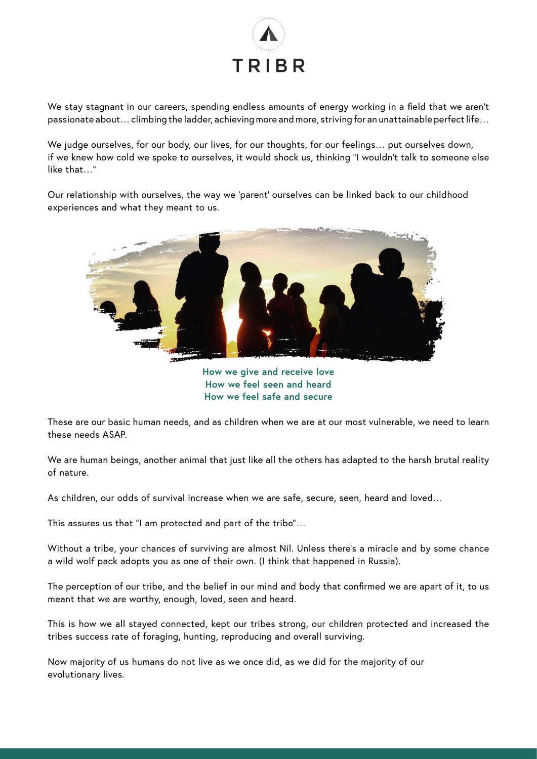

We stay stagnant in our careers, spending endless amounts of energy working in a field that we aren't passionate about… climbing the ladder, achieving more and more, striving for an unattainable perfect life…

We judge ourselves, for our body, our lives, for our thoughts, for our feelings… put ourselves down, if we knew how cold we spoke to ourselves, it would shock us, thinking "I wouldn't talk to someone else like that…"

Our relationship with ourselves, the way we 'parent' ourselves can be linked back to our childhood experiences and what they meant to us.



**How we give and receive love How we feel seen and heard How we feel safe and secure** 

These are our basic human needs, and as children when we are at our most vulnerable, we need to learn these needs ASAP.

We are human beings, another animal that just like all the others has adapted to the harsh brutal reality of nature.

As children, our odds of survival increase when we are safe, secure, seen, heard and loved…

This assures us that "I am protected and part of the tribe"…

Without a tribe, your chances of surviving are almost Nil. Unless there's a miracle and by some chance a wild wolf pack adopts you as one of their own. (I think that happened in Russia).

The perception of our tribe, and the belief in our mind and body that confirmed we are apart of it, to us meant that we are worthy, enough, loved, seen and heard.

This is how we all stayed connected, kept our tribes strong, our children protected and increased the tribes success rate of foraging, hunting, reproducing and overall surviving.

Now majority of us humans do not live as we once did, as we did for the majority of our evolutionary lives.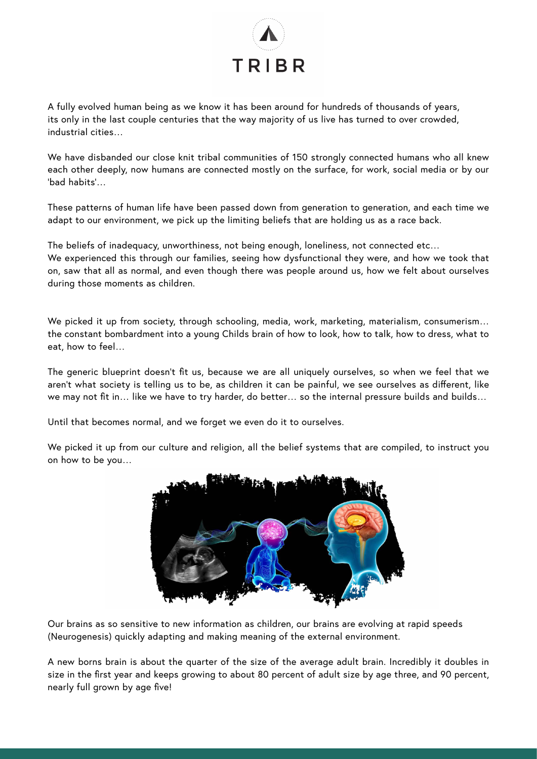

A fully evolved human being as we know it has been around for hundreds of thousands of years, its only in the last couple centuries that the way majority of us live has turned to over crowded, industrial cities…

We have disbanded our close knit tribal communities of 150 strongly connected humans who all knew each other deeply, now humans are connected mostly on the surface, for work, social media or by our 'bad habits'…

These patterns of human life have been passed down from generation to generation, and each time we adapt to our environment, we pick up the limiting beliefs that are holding us as a race back.

The beliefs of inadequacy, unworthiness, not being enough, loneliness, not connected etc… We experienced this through our families, seeing how dysfunctional they were, and how we took that on, saw that all as normal, and even though there was people around us, how we felt about ourselves during those moments as children.

We picked it up from society, through schooling, media, work, marketing, materialism, consumerism... the constant bombardment into a young Childs brain of how to look, how to talk, how to dress, what to eat, how to feel…

The generic blueprint doesn't fit us, because we are all uniquely ourselves, so when we feel that we aren't what society is telling us to be, as children it can be painful, we see ourselves as different, like we may not fit in… like we have to try harder, do better… so the internal pressure builds and builds…

Until that becomes normal, and we forget we even do it to ourselves.

We picked it up from our culture and religion, all the belief systems that are compiled, to instruct you on how to be you…



Our brains as so sensitive to new information as children, our brains are evolving at rapid speeds (Neurogenesis) quickly adapting and making meaning of the external environment.

A new borns brain is about the quarter of the size of the average adult brain. Incredibly it doubles in size in the first year and keeps growing to about 80 percent of adult size by age three, and 90 percent, nearly full grown by age five!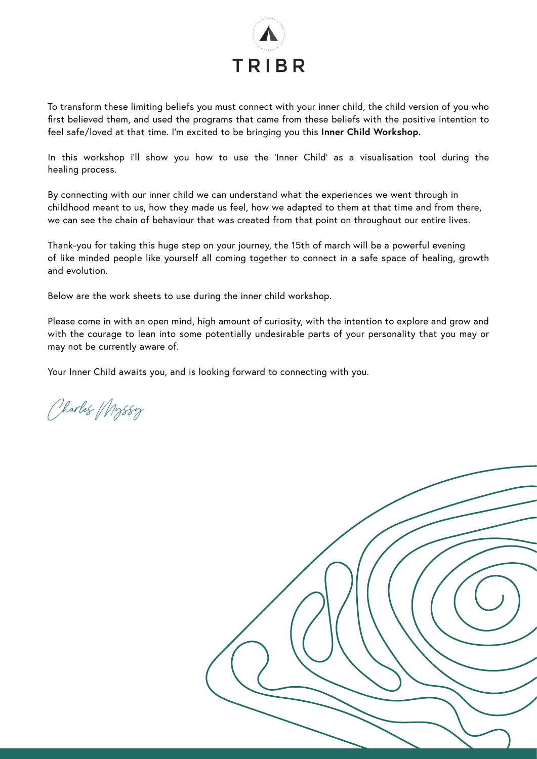

To transform these limiting beliefs you must connect with your inner child, the child version of you who first believed them, and used the programs that came from these beliefs with the positive intention to feel safe/loved at that time. I'm excited to be bringing you this **Inner Child Workshop.**

In this workshop i'll show you how to use the 'Inner Child' as a visualisation tool during the healing process.

By connecting with our inner child we can understand what the experiences we went through in childhood meant to us, how they made us feel, how we adapted to them at that time and from there, we can see the chain of behaviour that was created from that point on throughout our entire lives.

Thank-you for taking this huge step on your journey, the 15th of march will be a powerful evening of like minded people like yourself all coming together to connect in a safe space of healing, growth and evolution.

Below are the work sheets to use during the inner child workshop.

Please come in with an open mind, high amount of curiosity, with the intention to explore and grow and with the courage to lean into some potentially undesirable parts of your personality that you may or may not be currently aware of.

Your Inner Child awaits you, and is looking forward to connecting with you.

Charles Myssy

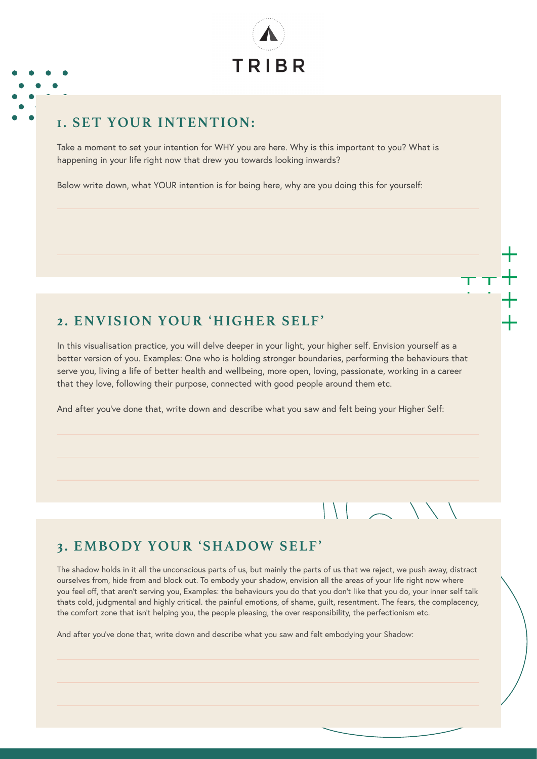

#### **1. SET YOUR INTENTION:**

Take a moment to set your intention for WHY you are here. Why is this important to you? What is happening in your life right now that drew you towards looking inwards?

Below write down, what YOUR intention is for being here, why are you doing this for yourself:

#### **2. ENVISION YOUR 'HIGHER SELF'**

In this visualisation practice, you will delve deeper in your light, your higher self. Envision yourself as a better version of you. Examples: One who is holding stronger boundaries, performing the behaviours that serve you, living a life of better health and wellbeing, more open, loving, passionate, working in a career that they love, following their purpose, connected with good people around them etc.

And after you've done that, write down and describe what you saw and felt being your Higher Self:

#### **3. EMBODY YOUR 'SHADOW SELF'**

The shadow holds in it all the unconscious parts of us, but mainly the parts of us that we reject, we push away, distract ourselves from, hide from and block out. To embody your shadow, envision all the areas of your life right now where you feel off, that aren't serving you, Examples: the behaviours you do that you don't like that you do, your inner self talk thats cold, judgmental and highly critical. the painful emotions, of shame, guilt, resentment. The fears, the complacency, the comfort zone that isn't helping you, the people pleasing, the over responsibility, the perfectionism etc.

And after you've done that, write down and describe what you saw and felt embodying your Shadow: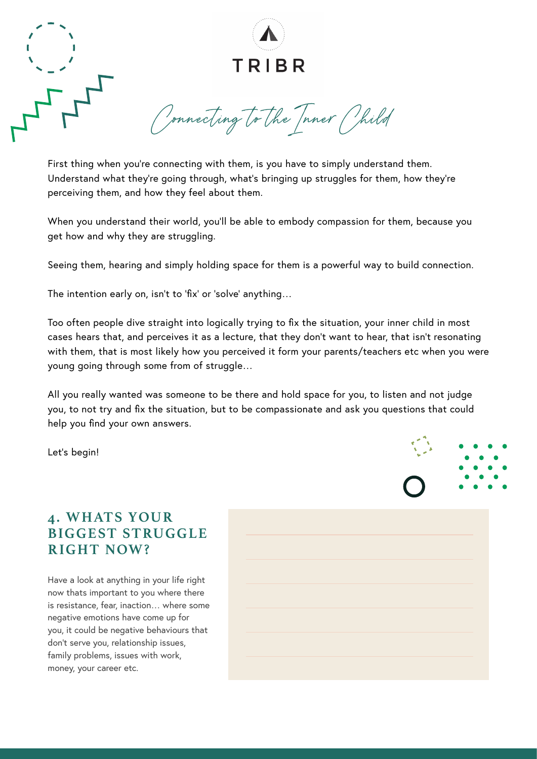

First thing when you're connecting with them, is you have to simply understand them. Understand what they're going through, what's bringing up struggles for them, how they're perceiving them, and how they feel about them.

When you understand their world, you'll be able to embody compassion for them, because you get how and why they are struggling.

Seeing them, hearing and simply holding space for them is a powerful way to build connection.

The intention early on, isn't to 'fix' or 'solve' anything…

Too often people dive straight into logically trying to fix the situation, your inner child in most cases hears that, and perceives it as a lecture, that they don't want to hear, that isn't resonating with them, that is most likely how you perceived it form your parents/teachers etc when you were young going through some from of struggle…

All you really wanted was someone to be there and hold space for you, to listen and not judge you, to not try and fix the situation, but to be compassionate and ask you questions that could help you find your own answers.

Let's begin!

#### **4. WHATS YOUR BIGGEST STRUGGLE RIGHT NOW?**

Have a look at anything in your life right now thats important to you where there is resistance, fear, inaction… where some negative emotions have come up for you, it could be negative behaviours that don't serve you, relationship issues, family problems, issues with work, money, your career etc.

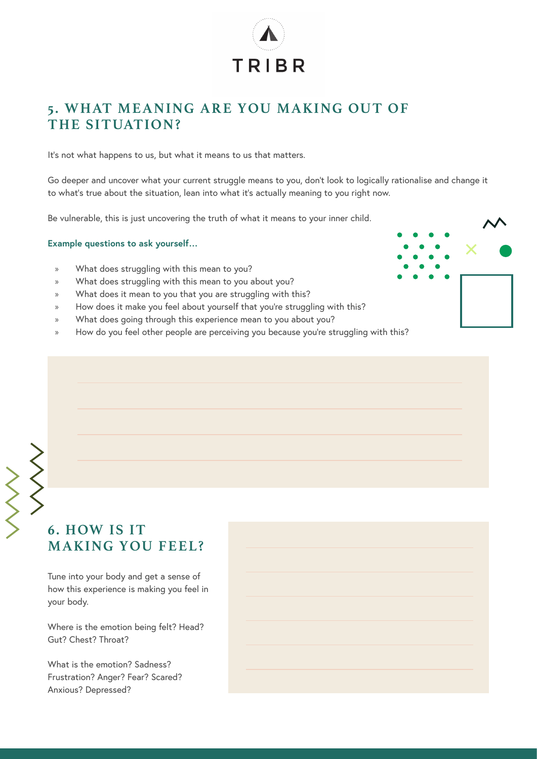

#### **5. WHAT MEANING ARE YOU MAKING OUT OF THE SITUATION?**

It's not what happens to us, but what it means to us that matters.

Go deeper and uncover what your current struggle means to you, don't look to logically rationalise and change it to what's true about the situation, lean into what it's actually meaning to you right now.

Be vulnerable, this is just uncovering the truth of what it means to your inner child.

#### **Example questions to ask yourself…**

- » What does struggling with this mean to you?
- » What does struggling with this mean to you about you?
- » What does it mean to you that you are struggling with this?
- » How does it make you feel about yourself that you're struggling with this?
- » What does going through this experience mean to you about you?
- » How do you feel other people are perceiving you because you're struggling with this?



# **6. HOW IS IT MAKING YOU FEEL?**

Tune into your body and get a sense of how this experience is making you feel in your body.

Where is the emotion being felt? Head? Gut? Chest? Throat?

What is the emotion? Sadness? Frustration? Anger? Fear? Scared? Anxious? Depressed?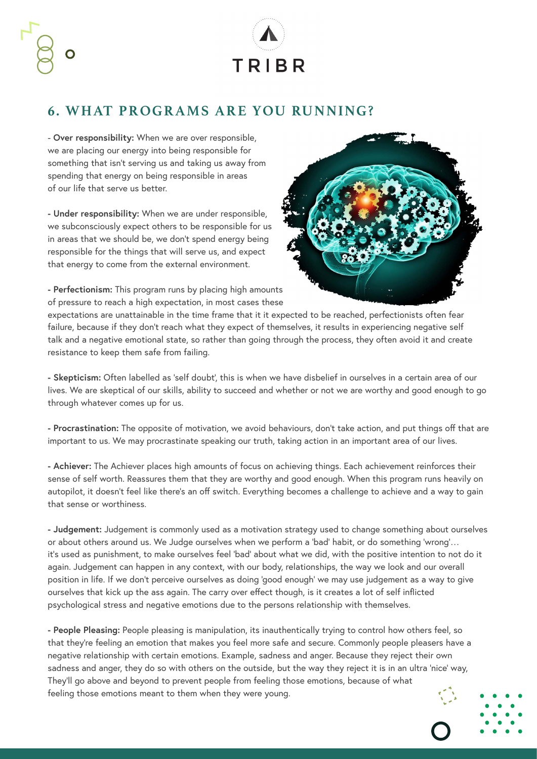

#### **6. WHAT PROGRAMS ARE YOU RUNNING?**

- **Over responsibility:** When we are over responsible, we are placing our energy into being responsible for something that isn't serving us and taking us away from spending that energy on being responsible in areas of our life that serve us better.

**- Under responsibility:** When we are under responsible, we subconsciously expect others to be responsible for us in areas that we should be, we don't spend energy being responsible for the things that will serve us, and expect that energy to come from the external environment.

**- Perfectionism:** This program runs by placing high amounts of pressure to reach a high expectation, in most cases these



expectations are unattainable in the time frame that it it expected to be reached, perfectionists often fear failure, because if they don't reach what they expect of themselves, it results in experiencing negative self talk and a negative emotional state, so rather than going through the process, they often avoid it and create resistance to keep them safe from failing.

**- Skepticism:** Often labelled as 'self doubt', this is when we have disbelief in ourselves in a certain area of our lives. We are skeptical of our skills, ability to succeed and whether or not we are worthy and good enough to go through whatever comes up for us.

**- Procrastination:** The opposite of motivation, we avoid behaviours, don't take action, and put things off that are important to us. We may procrastinate speaking our truth, taking action in an important area of our lives.

**- Achiever:** The Achiever places high amounts of focus on achieving things. Each achievement reinforces their sense of self worth. Reassures them that they are worthy and good enough. When this program runs heavily on autopilot, it doesn't feel like there's an off switch. Everything becomes a challenge to achieve and a way to gain that sense or worthiness.

**- Judgement:** Judgement is commonly used as a motivation strategy used to change something about ourselves or about others around us. We Judge ourselves when we perform a 'bad' habit, or do something 'wrong'… it's used as punishment, to make ourselves feel 'bad' about what we did, with the positive intention to not do it again. Judgement can happen in any context, with our body, relationships, the way we look and our overall position in life. If we don't perceive ourselves as doing 'good enough' we may use judgement as a way to give ourselves that kick up the ass again. The carry over effect though, is it creates a lot of self inflicted psychological stress and negative emotions due to the persons relationship with themselves.

**- People Pleasing:** People pleasing is manipulation, its inauthentically trying to control how others feel, so that they're feeling an emotion that makes you feel more safe and secure. Commonly people pleasers have a negative relationship with certain emotions. Example, sadness and anger. Because they reject their own sadness and anger, they do so with others on the outside, but the way they reject it is in an ultra 'nice' way, They'll go above and beyond to prevent people from feeling those emotions, because of what feeling those emotions meant to them when they were young.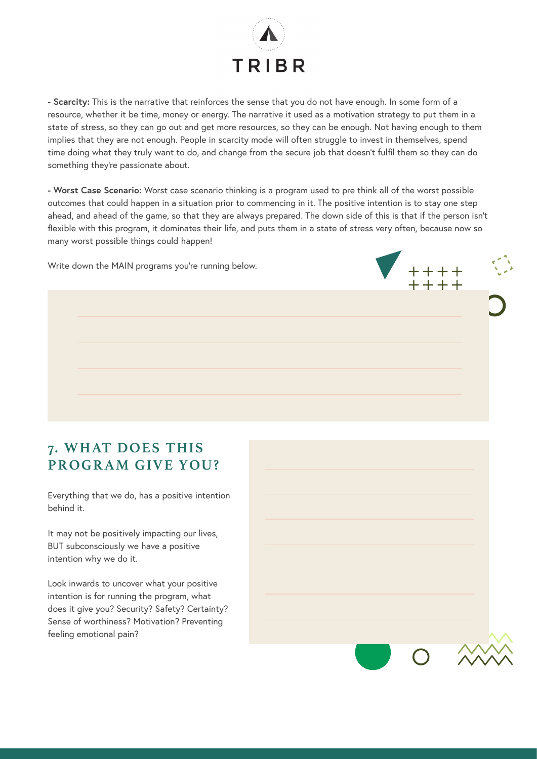

**- Scarcity:** This is the narrative that reinforces the sense that you do not have enough. In some form of a resource, whether it be time, money or energy. The narrative it used as a motivation strategy to put them in a state of stress, so they can go out and get more resources, so they can be enough. Not having enough to them implies that they are not enough. People in scarcity mode will often struggle to invest in themselves, spend time doing what they truly want to do, and change from the secure job that doesn't fulfil them so they can do something they're passionate about.

**- Worst Case Scenario:** Worst case scenario thinking is a program used to pre think all of the worst possible outcomes that could happen in a situation prior to commencing in it. The positive intention is to stay one step ahead, and ahead of the game, so that they are always prepared. The down side of this is that if the person isn't flexible with this program, it dominates their life, and puts them in a state of stress very often, because now so many worst possible things could happen!

 $***$   $\bigcirc$ 

Write down the MAIN programs you're running below.

#### **7. WHAT DOES THIS PROGRAM GIVE YOU?**

Everything that we do, has a positive intention behind it.

It may not be positively impacting our lives, BUT subconsciously we have a positive intention why we do it.

Look inwards to uncover what your positive intention is for running the program, what does it give you? Security? Safety? Certainty? Sense of worthiness? Motivation? Preventing feeling emotional pain?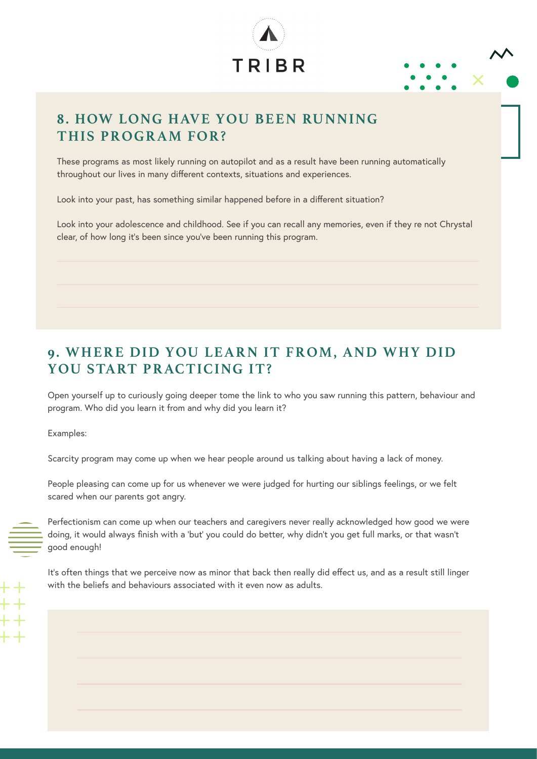



#### **8. HOW LONG HAVE YOU BEEN RUNNING THIS PROGRAM FOR?**

These programs as most likely running on autopilot and as a result have been running automatically throughout our lives in many different contexts, situations and experiences.

Look into your past, has something similar happened before in a different situation?

Look into your adolescence and childhood. See if you can recall any memories, even if they re not Chrystal clear, of how long it's been since you've been running this program.

# **9. WHERE DID YOU LEARN IT FROM, AND WHY DID YOU START PRACTICING IT?**

Open yourself up to curiously going deeper tome the link to who you saw running this pattern, behaviour and program. Who did you learn it from and why did you learn it?

Examples:

Scarcity program may come up when we hear people around us talking about having a lack of money.

People pleasing can come up for us whenever we were judged for hurting our siblings feelings, or we felt scared when our parents got angry.

Perfectionism can come up when our teachers and caregivers never really acknowledged how good we were doing, it would always finish with a 'but' you could do better, why didn't you get full marks, or that wasn't good enough!

It's often things that we perceive now as minor that back then really did effect us, and as a result still linger with the beliefs and behaviours associated with it even now as adults.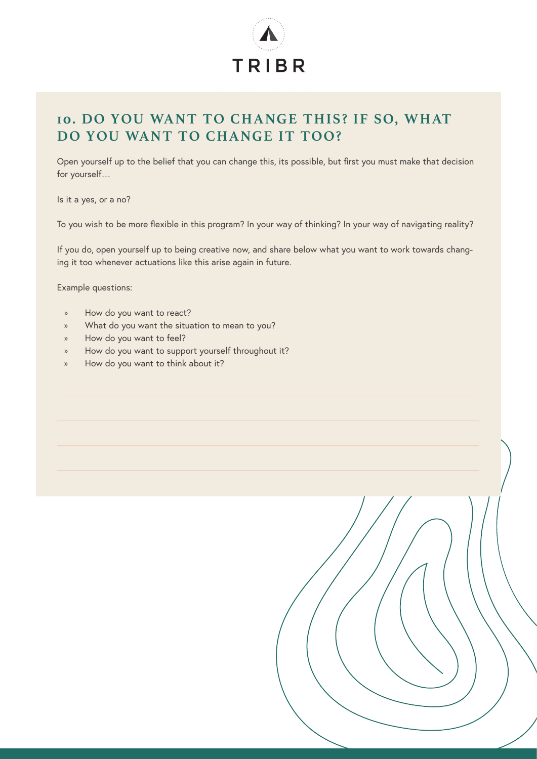

# **10. DO YOU WANT TO CHANGE THIS? IF SO, WHAT DO YOU WANT TO CHANGE IT TOO?**

Open yourself up to the belief that you can change this, its possible, but first you must make that decision for yourself…

Is it a yes, or a no?

To you wish to be more flexible in this program? In your way of thinking? In your way of navigating reality?

If you do, open yourself up to being creative now, and share below what you want to work towards changing it too whenever actuations like this arise again in future.

Example questions:

- » How do you want to react?
- » What do you want the situation to mean to you?
- » How do you want to feel?
- » How do you want to support yourself throughout it?
- » How do you want to think about it?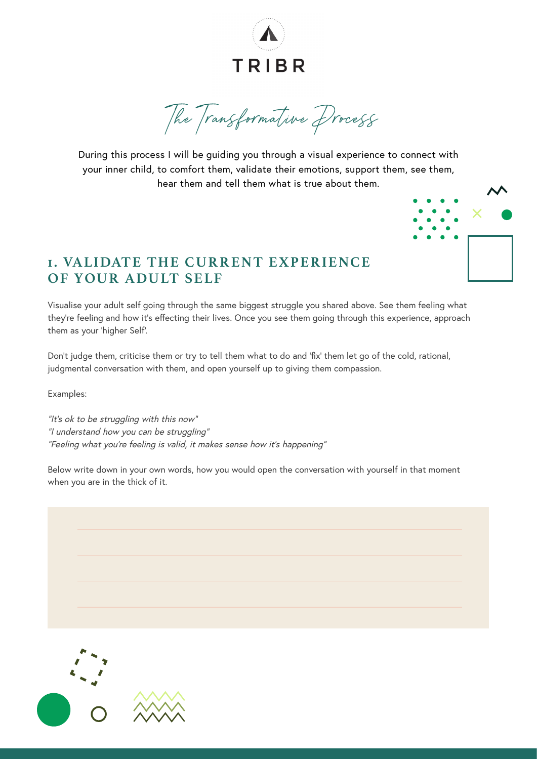

The Transformative Process

During this process I will be guiding you through a visual experience to connect with your inner child, to comfort them, validate their emotions, support them, see them, hear them and tell them what is true about them.



#### **1. VALIDATE THE CURRENT EXPERIENCE OF YOUR ADULT SELF**

Visualise your adult self going through the same biggest struggle you shared above. See them feeling what they're feeling and how it's effecting their lives. Once you see them going through this experience, approach them as your 'higher Self'.

Don't judge them, criticise them or try to tell them what to do and 'fix' them let go of the cold, rational, judgmental conversation with them, and open yourself up to giving them compassion.

Examples:

"It's ok to be struggling with this now" "I understand how you can be struggling" "Feeling what you're feeling is valid, it makes sense how it's happening"

Below write down in your own words, how you would open the conversation with yourself in that moment when you are in the thick of it.

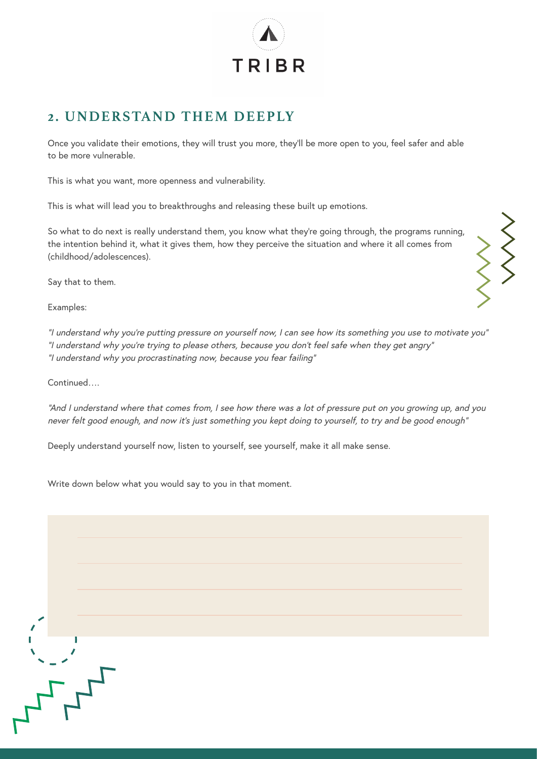

#### **2. UNDERSTAND THEM DEEPLY**

Once you validate their emotions, they will trust you more, they'll be more open to you, feel safer and able to be more vulnerable.

This is what you want, more openness and vulnerability.

This is what will lead you to breakthroughs and releasing these built up emotions.

So what to do next is really understand them, you know what they're going through, the programs running, the intention behind it, what it gives them, how they perceive the situation and where it all comes from (childhood/adolescences).

Say that to them.

Examples:

"I understand why you're putting pressure on yourself now, I can see how its something you use to motivate you" "I understand why you're trying to please others, because you don't feel safe when they get angry" "I understand why you procrastinating now, because you fear failing"

Continued….

י<br>דרי

"And I understand where that comes from, I see how there was a lot of pressure put on you growing up, and you never felt good enough, and now it's just something you kept doing to yourself, to try and be good enough"

Deeply understand yourself now, listen to yourself, see yourself, make it all make sense.

Write down below what you would say to you in that moment.